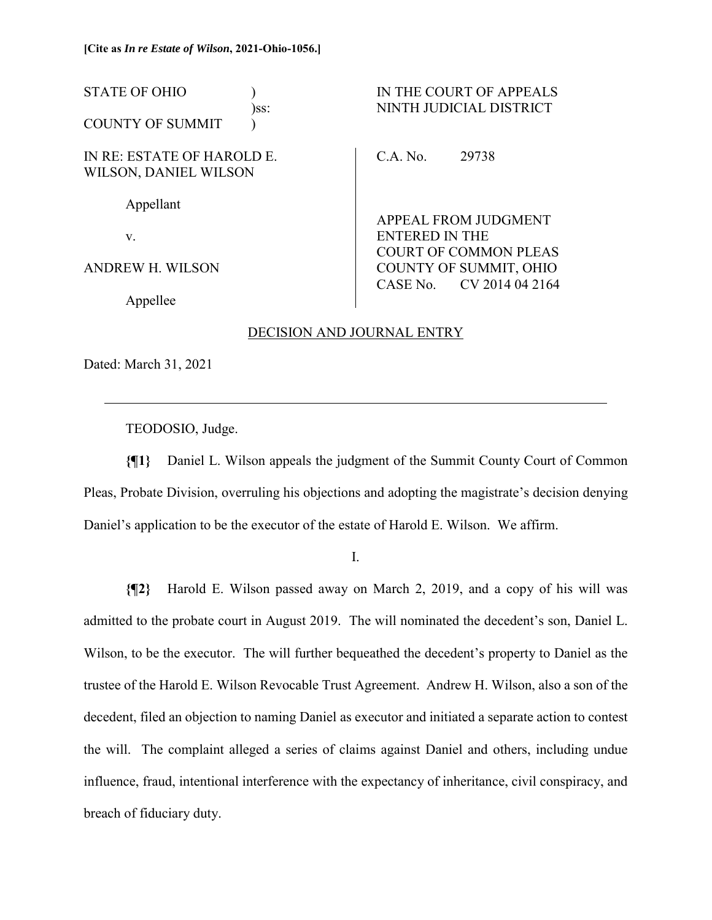STATE OF OHIO ) IN THE COURT OF APPEALS )ss: NINTH JUDICIAL DISTRICT COUNTY OF SUMMIT ) IN RE: ESTATE OF HAROLD E. WILSON, DANIEL WILSON Appellant v. ANDREW H. WILSON Appellee C.A. No. 29738 APPEAL FROM JUDGMENT ENTERED IN THE COURT OF COMMON PLEAS COUNTY OF SUMMIT, OHIO CASE No. CV 2014 04 2164

## DECISION AND JOURNAL ENTRY

Dated: March 31, 2021

 $\overline{a}$ 

TEODOSIO, Judge.

**{¶1}** Daniel L. Wilson appeals the judgment of the Summit County Court of Common Pleas, Probate Division, overruling his objections and adopting the magistrate's decision denying Daniel's application to be the executor of the estate of Harold E. Wilson. We affirm.

I.

**{¶2}** Harold E. Wilson passed away on March 2, 2019, and a copy of his will was admitted to the probate court in August 2019. The will nominated the decedent's son, Daniel L. Wilson, to be the executor. The will further bequeathed the decedent's property to Daniel as the trustee of the Harold E. Wilson Revocable Trust Agreement. Andrew H. Wilson, also a son of the decedent, filed an objection to naming Daniel as executor and initiated a separate action to contest the will. The complaint alleged a series of claims against Daniel and others, including undue influence, fraud, intentional interference with the expectancy of inheritance, civil conspiracy, and breach of fiduciary duty.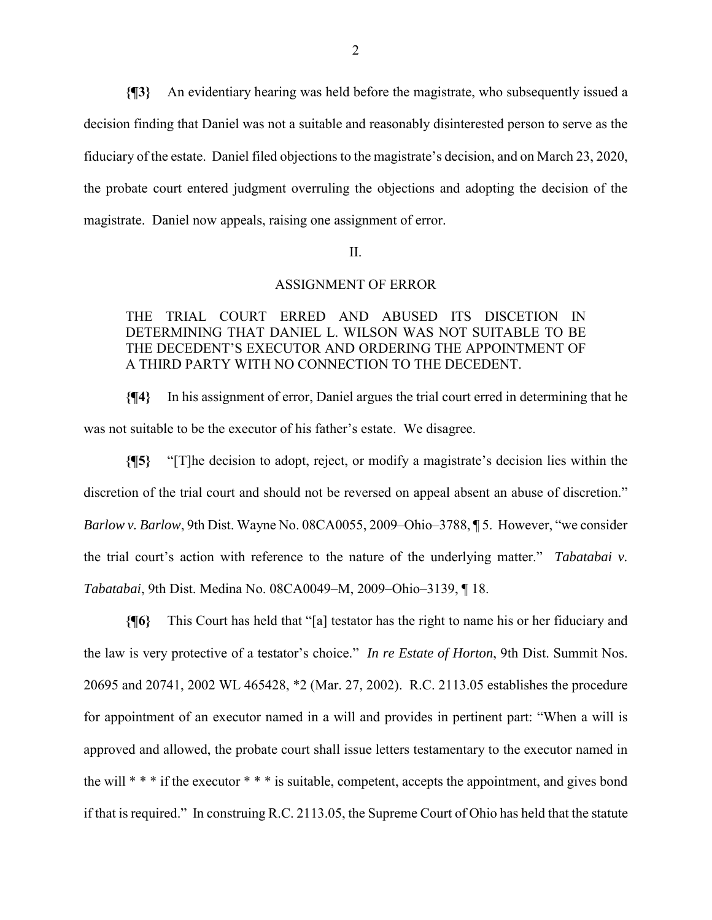**{¶3}** An evidentiary hearing was held before the magistrate, who subsequently issued a decision finding that Daniel was not a suitable and reasonably disinterested person to serve as the fiduciary of the estate. Daniel filed objections to the magistrate's decision, and on March 23, 2020, the probate court entered judgment overruling the objections and adopting the decision of the magistrate. Daniel now appeals, raising one assignment of error.

II.

## ASSIGNMENT OF ERROR

## THE TRIAL COURT ERRED AND ABUSED ITS DISCETION IN DETERMINING THAT DANIEL L. WILSON WAS NOT SUITABLE TO BE THE DECEDENT'S EXECUTOR AND ORDERING THE APPOINTMENT OF A THIRD PARTY WITH NO CONNECTION TO THE DECEDENT.

**{¶4}** In his assignment of error, Daniel argues the trial court erred in determining that he was not suitable to be the executor of his father's estate. We disagree.

**{¶5}** "[T]he decision to adopt, reject, or modify a magistrate's decision lies within the discretion of the trial court and should not be reversed on appeal absent an abuse of discretion." *Barlow v. Barlow*, 9th Dist. Wayne No. 08CA0055, 2009–Ohio–3788, ¶ 5. However, "we consider the trial court's action with reference to the nature of the underlying matter." *Tabatabai v. Tabatabai*, 9th Dist. Medina No. 08CA0049–M, 2009–Ohio–3139, ¶ 18.

**{¶6}** This Court has held that "[a] testator has the right to name his or her fiduciary and the law is very protective of a testator's choice." *In re Estate of Horton*, 9th Dist. Summit Nos. 20695 and 20741, 2002 WL 465428, \*2 (Mar. 27, 2002). R.C. 2113.05 establishes the procedure for appointment of an executor named in a will and provides in pertinent part: "When a will is approved and allowed, the probate court shall issue letters testamentary to the executor named in the will \* \* \* if the executor \* \* \* is suitable, competent, accepts the appointment, and gives bond if that is required." In construing R.C. 2113.05, the Supreme Court of Ohio has held that the statute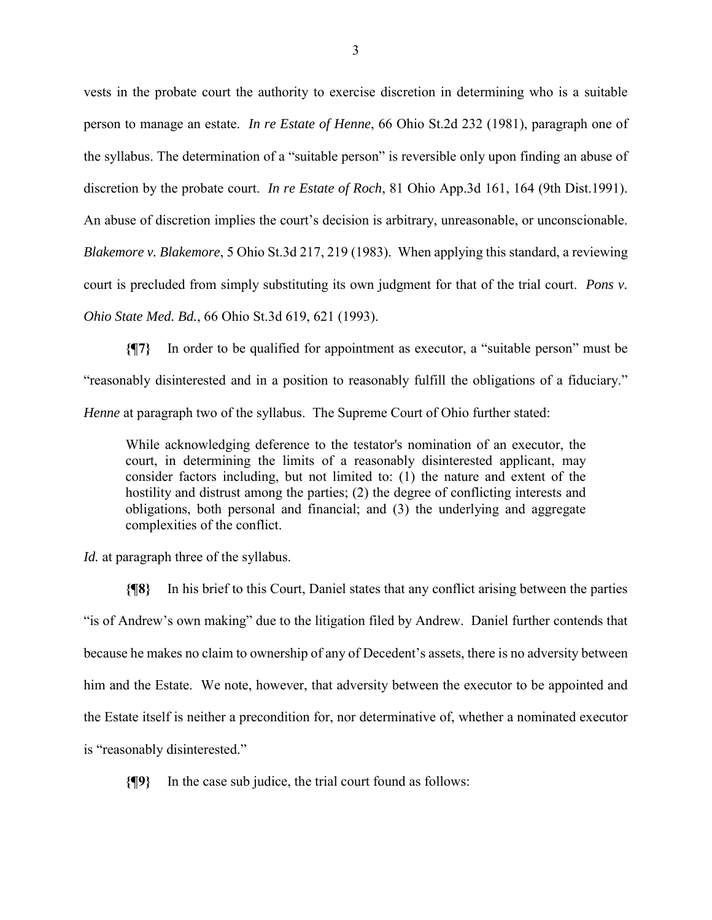vests in the probate court the authority to exercise discretion in determining who is a suitable person to manage an estate. *In re Estate of Henne*, 66 Ohio St.2d 232 (1981), paragraph one of the syllabus. The determination of a "suitable person" is reversible only upon finding an abuse of discretion by the probate court. *In re Estate of Roch*, 81 Ohio App.3d 161, 164 (9th Dist.1991). An abuse of discretion implies the court's decision is arbitrary, unreasonable, or unconscionable. *Blakemore v. Blakemore*, 5 Ohio St.3d 217, 219 (1983). When applying this standard, a reviewing court is precluded from simply substituting its own judgment for that of the trial court. *Pons v. Ohio State Med. Bd.*, 66 Ohio St.3d 619, 621 (1993).

**{¶7}** In order to be qualified for appointment as executor, a "suitable person" must be "reasonably disinterested and in a position to reasonably fulfill the obligations of a fiduciary." *Henne* at paragraph two of the syllabus. The Supreme Court of Ohio further stated:

While acknowledging deference to the testator's nomination of an executor, the court, in determining the limits of a reasonably disinterested applicant, may consider factors including, but not limited to: (1) the nature and extent of the hostility and distrust among the parties; (2) the degree of conflicting interests and obligations, both personal and financial; and (3) the underlying and aggregate complexities of the conflict.

*Id.* at paragraph three of the syllabus.

**{¶8}** In his brief to this Court, Daniel states that any conflict arising between the parties "is of Andrew's own making" due to the litigation filed by Andrew. Daniel further contends that because he makes no claim to ownership of any of Decedent's assets, there is no adversity between him and the Estate. We note, however, that adversity between the executor to be appointed and the Estate itself is neither a precondition for, nor determinative of, whether a nominated executor is "reasonably disinterested."

**{¶9}** In the case sub judice, the trial court found as follows: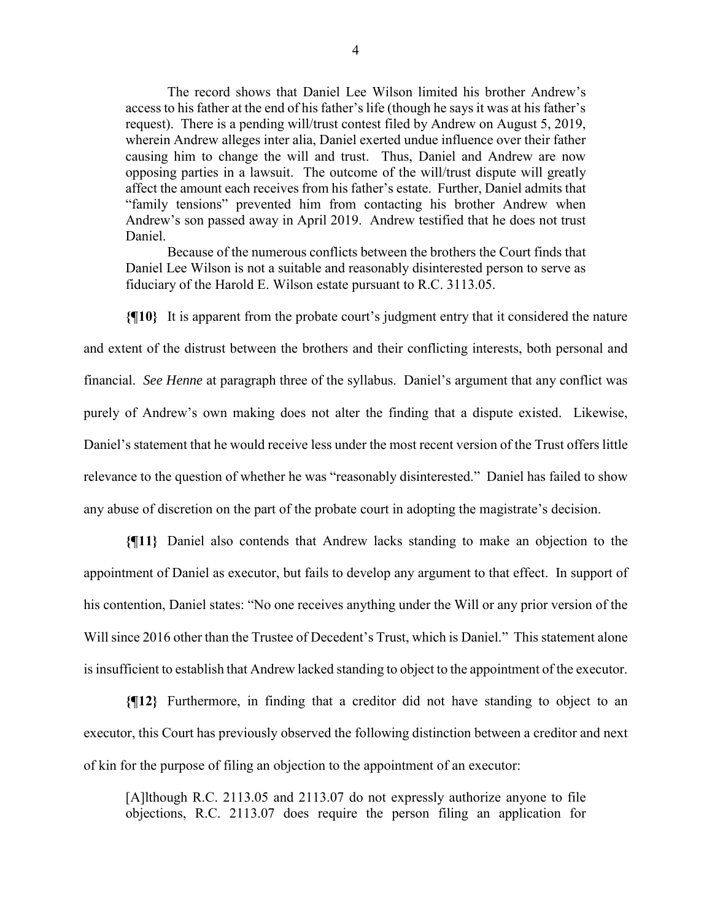The record shows that Daniel Lee Wilson limited his brother Andrew's access to his father at the end of his father's life (though he says it was at his father's request). There is a pending will/trust contest filed by Andrew on August 5, 2019, wherein Andrew alleges inter alia, Daniel exerted undue influence over their father causing him to change the will and trust. Thus, Daniel and Andrew are now opposing parties in a lawsuit. The outcome of the will/trust dispute will greatly affect the amount each receives from his father's estate. Further, Daniel admits that "family tensions" prevented him from contacting his brother Andrew when Andrew's son passed away in April 2019. Andrew testified that he does not trust Daniel.

Because of the numerous conflicts between the brothers the Court finds that Daniel Lee Wilson is not a suitable and reasonably disinterested person to serve as fiduciary of the Harold E. Wilson estate pursuant to R.C. 3113.05.

**{¶10}** It is apparent from the probate court's judgment entry that it considered the nature and extent of the distrust between the brothers and their conflicting interests, both personal and financial. *See Henne* at paragraph three of the syllabus. Daniel's argument that any conflict was purely of Andrew's own making does not alter the finding that a dispute existed. Likewise, Daniel's statement that he would receive less under the most recent version of the Trust offers little relevance to the question of whether he was "reasonably disinterested." Daniel has failed to show any abuse of discretion on the part of the probate court in adopting the magistrate's decision.

**{¶11}** Daniel also contends that Andrew lacks standing to make an objection to the appointment of Daniel as executor, but fails to develop any argument to that effect. In support of his contention, Daniel states: "No one receives anything under the Will or any prior version of the Will since 2016 other than the Trustee of Decedent's Trust, which is Daniel." This statement alone is insufficient to establish that Andrew lacked standing to object to the appointment of the executor.

**{¶12}** Furthermore, in finding that a creditor did not have standing to object to an executor, this Court has previously observed the following distinction between a creditor and next of kin for the purpose of filing an objection to the appointment of an executor:

[A]lthough R.C. 2113.05 and 2113.07 do not expressly authorize anyone to file objections, R.C. 2113.07 does require the person filing an application for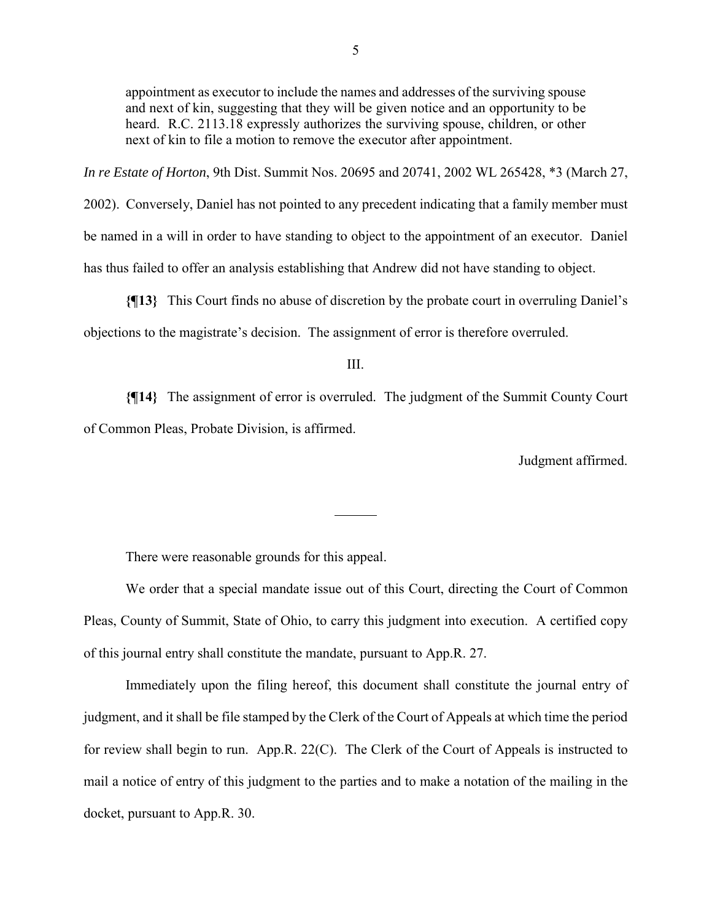appointment as executor to include the names and addresses of the surviving spouse and next of kin, suggesting that they will be given notice and an opportunity to be heard. R.C. 2113.18 expressly authorizes the surviving spouse, children, or other next of kin to file a motion to remove the executor after appointment.

*In re Estate of Horton*, 9th Dist. Summit Nos. 20695 and 20741, 2002 WL 265428, \*3 (March 27,

2002). Conversely, Daniel has not pointed to any precedent indicating that a family member must be named in a will in order to have standing to object to the appointment of an executor. Daniel has thus failed to offer an analysis establishing that Andrew did not have standing to object.

**{¶13}** This Court finds no abuse of discretion by the probate court in overruling Daniel's objections to the magistrate's decision. The assignment of error is therefore overruled.

III.

**{¶14}** The assignment of error is overruled. The judgment of the Summit County Court of Common Pleas, Probate Division, is affirmed.

 $\overline{a}$ 

Judgment affirmed.

There were reasonable grounds for this appeal.

 We order that a special mandate issue out of this Court, directing the Court of Common Pleas, County of Summit, State of Ohio, to carry this judgment into execution. A certified copy of this journal entry shall constitute the mandate, pursuant to App.R. 27.

 Immediately upon the filing hereof, this document shall constitute the journal entry of judgment, and it shall be file stamped by the Clerk of the Court of Appeals at which time the period for review shall begin to run. App.R. 22(C). The Clerk of the Court of Appeals is instructed to mail a notice of entry of this judgment to the parties and to make a notation of the mailing in the docket, pursuant to App.R. 30.